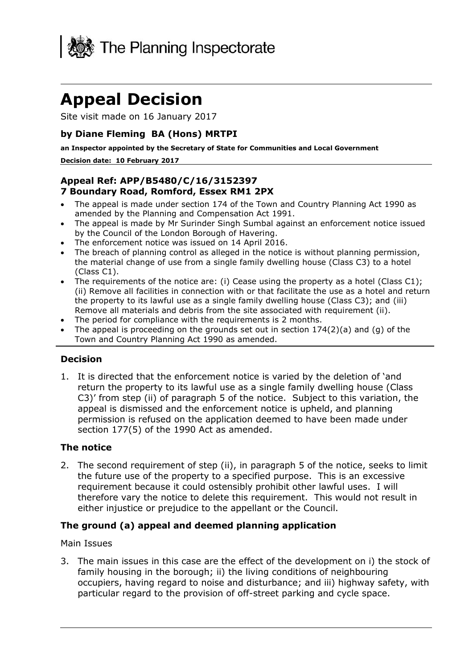

# **Appeal Decision**

Site visit made on 16 January 2017

# **by Diane Fleming BA (Hons) MRTPI**

**an Inspector appointed by the Secretary of State for Communities and Local Government**

#### **Decision date: 10 February 2017**

## **Appeal Ref: APP/B5480/C/16/3152397 7 Boundary Road, Romford, Essex RM1 2PX**

- The appeal is made under section 174 of the Town and Country Planning Act 1990 as amended by the Planning and Compensation Act 1991.
- The appeal is made by Mr Surinder Singh Sumbal against an enforcement notice issued by the Council of the London Borough of Havering.
- The enforcement notice was issued on 14 April 2016.
- The breach of planning control as alleged in the notice is without planning permission, the material change of use from a single family dwelling house (Class C3) to a hotel (Class C1).
- The requirements of the notice are: (i) Cease using the property as a hotel (Class C1); (ii) Remove all facilities in connection with or that facilitate the use as a hotel and return the property to its lawful use as a single family dwelling house (Class C3); and (iii) Remove all materials and debris from the site associated with requirement (ii).
- The period for compliance with the requirements is 2 months.
- The appeal is proceeding on the grounds set out in section  $174(2)(a)$  and (q) of the Town and Country Planning Act 1990 as amended.

## **Decision**

1. It is directed that the enforcement notice is varied by the deletion of 'and return the property to its lawful use as a single family dwelling house (Class C3)' from step (ii) of paragraph 5 of the notice. Subject to this variation, the appeal is dismissed and the enforcement notice is upheld, and planning permission is refused on the application deemed to have been made under section 177(5) of the 1990 Act as amended.

## **The notice**

2. The second requirement of step (ii), in paragraph 5 of the notice, seeks to limit the future use of the property to a specified purpose. This is an excessive requirement because it could ostensibly prohibit other lawful uses. I will therefore vary the notice to delete this requirement. This would not result in either injustice or prejudice to the appellant or the Council.

## **The ground (a) appeal and deemed planning application**

#### Main Issues

3. The main issues in this case are the effect of the development on i) the stock of family housing in the borough; ii) the living conditions of neighbouring occupiers, having regard to noise and disturbance; and iii) highway safety, with particular regard to the provision of off-street parking and cycle space.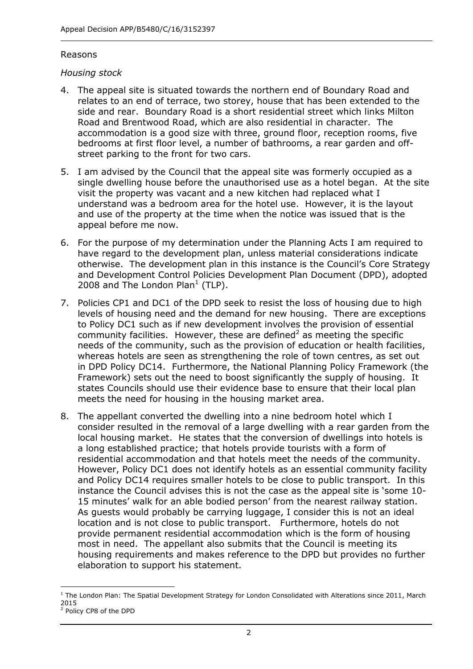### Reasons

## *Housing stock*

- 4. The appeal site is situated towards the northern end of Boundary Road and relates to an end of terrace, two storey, house that has been extended to the side and rear. Boundary Road is a short residential street which links Milton Road and Brentwood Road, which are also residential in character. The accommodation is a good size with three, ground floor, reception rooms, five bedrooms at first floor level, a number of bathrooms, a rear garden and offstreet parking to the front for two cars.
- 5. I am advised by the Council that the appeal site was formerly occupied as a single dwelling house before the unauthorised use as a hotel began. At the site visit the property was vacant and a new kitchen had replaced what I understand was a bedroom area for the hotel use. However, it is the layout and use of the property at the time when the notice was issued that is the appeal before me now.
- 6. For the purpose of my determination under the Planning Acts I am required to have regard to the development plan, unless material considerations indicate otherwise. The development plan in this instance is the Council's Core Strategy and Development Control Policies Development Plan Document (DPD), adopted 2008 and The London Plan $<sup>1</sup>$  (TLP).</sup>
- 7. Policies CP1 and DC1 of the DPD seek to resist the loss of housing due to high levels of housing need and the demand for new housing. There are exceptions to Policy DC1 such as if new development involves the provision of essential community facilities. However, these are defined<sup>2</sup> as meeting the specific needs of the community, such as the provision of education or health facilities, whereas hotels are seen as strengthening the role of town centres, as set out in DPD Policy DC14. Furthermore, the National Planning Policy Framework (the Framework) sets out the need to boost significantly the supply of housing. It states Councils should use their evidence base to ensure that their local plan meets the need for housing in the housing market area.
- 8. The appellant converted the dwelling into a nine bedroom hotel which I consider resulted in the removal of a large dwelling with a rear garden from the local housing market. He states that the conversion of dwellings into hotels is a long established practice; that hotels provide tourists with a form of residential accommodation and that hotels meet the needs of the community. However, Policy DC1 does not identify hotels as an essential community facility and Policy DC14 requires smaller hotels to be close to public transport. In this instance the Council advises this is not the case as the appeal site is 'some 10- 15 minutes' walk for an able bodied person' from the nearest railway station. As guests would probably be carrying luggage, I consider this is not an ideal location and is not close to public transport. Furthermore, hotels do not provide permanent residential accommodation which is the form of housing most in need. The appellant also submits that the Council is meeting its housing requirements and makes reference to the DPD but provides no further elaboration to support his statement.

j  $1$  The London Plan: The Spatial Development Strategy for London Consolidated with Alterations since 2011, March 2015

<sup>2</sup> Policy CP8 of the DPD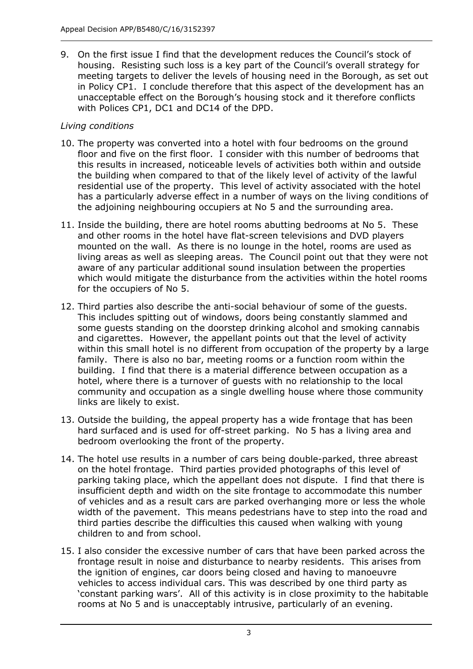9. On the first issue I find that the development reduces the Council's stock of housing. Resisting such loss is a key part of the Council's overall strategy for meeting targets to deliver the levels of housing need in the Borough, as set out in Policy CP1. I conclude therefore that this aspect of the development has an unacceptable effect on the Borough's housing stock and it therefore conflicts with Polices CP1, DC1 and DC14 of the DPD.

# *Living conditions*

- 10. The property was converted into a hotel with four bedrooms on the ground floor and five on the first floor. I consider with this number of bedrooms that this results in increased, noticeable levels of activities both within and outside the building when compared to that of the likely level of activity of the lawful residential use of the property. This level of activity associated with the hotel has a particularly adverse effect in a number of ways on the living conditions of the adjoining neighbouring occupiers at No 5 and the surrounding area.
- 11. Inside the building, there are hotel rooms abutting bedrooms at No 5. These and other rooms in the hotel have flat-screen televisions and DVD players mounted on the wall. As there is no lounge in the hotel, rooms are used as living areas as well as sleeping areas. The Council point out that they were not aware of any particular additional sound insulation between the properties which would mitigate the disturbance from the activities within the hotel rooms for the occupiers of No 5.
- 12. Third parties also describe the anti-social behaviour of some of the guests. This includes spitting out of windows, doors being constantly slammed and some guests standing on the doorstep drinking alcohol and smoking cannabis and cigarettes. However, the appellant points out that the level of activity within this small hotel is no different from occupation of the property by a large family. There is also no bar, meeting rooms or a function room within the building. I find that there is a material difference between occupation as a hotel, where there is a turnover of guests with no relationship to the local community and occupation as a single dwelling house where those community links are likely to exist.
- 13. Outside the building, the appeal property has a wide frontage that has been hard surfaced and is used for off-street parking. No 5 has a living area and bedroom overlooking the front of the property.
- 14. The hotel use results in a number of cars being double-parked, three abreast on the hotel frontage. Third parties provided photographs of this level of parking taking place, which the appellant does not dispute. I find that there is insufficient depth and width on the site frontage to accommodate this number of vehicles and as a result cars are parked overhanging more or less the whole width of the pavement. This means pedestrians have to step into the road and third parties describe the difficulties this caused when walking with young children to and from school.
- 15. I also consider the excessive number of cars that have been parked across the frontage result in noise and disturbance to nearby residents. This arises from the ignition of engines, car doors being closed and having to manoeuvre vehicles to access individual cars. This was described by one third party as 'constant parking wars'. All of this activity is in close proximity to the habitable rooms at No 5 and is unacceptably intrusive, particularly of an evening.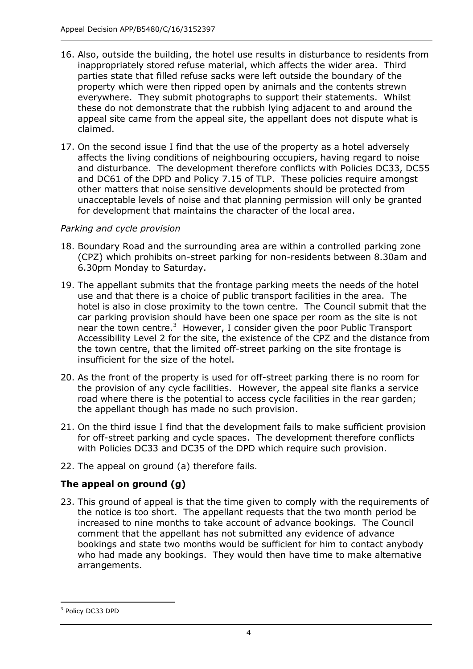- 16. Also, outside the building, the hotel use results in disturbance to residents from inappropriately stored refuse material, which affects the wider area. Third parties state that filled refuse sacks were left outside the boundary of the property which were then ripped open by animals and the contents strewn everywhere. They submit photographs to support their statements. Whilst these do not demonstrate that the rubbish lying adjacent to and around the appeal site came from the appeal site, the appellant does not dispute what is claimed.
- 17. On the second issue I find that the use of the property as a hotel adversely affects the living conditions of neighbouring occupiers, having regard to noise and disturbance. The development therefore conflicts with Policies DC33, DC55 and DC61 of the DPD and Policy 7.15 of TLP. These policies require amongst other matters that noise sensitive developments should be protected from unacceptable levels of noise and that planning permission will only be granted for development that maintains the character of the local area.

# *Parking and cycle provision*

- 18. Boundary Road and the surrounding area are within a controlled parking zone (CPZ) which prohibits on-street parking for non-residents between 8.30am and 6.30pm Monday to Saturday.
- 19. The appellant submits that the frontage parking meets the needs of the hotel use and that there is a choice of public transport facilities in the area. The hotel is also in close proximity to the town centre. The Council submit that the car parking provision should have been one space per room as the site is not near the town centre.<sup>3</sup> However, I consider given the poor Public Transport Accessibility Level 2 for the site, the existence of the CPZ and the distance from the town centre, that the limited off-street parking on the site frontage is insufficient for the size of the hotel.
- 20. As the front of the property is used for off-street parking there is no room for the provision of any cycle facilities. However, the appeal site flanks a service road where there is the potential to access cycle facilities in the rear garden; the appellant though has made no such provision.
- 21. On the third issue I find that the development fails to make sufficient provision for off-street parking and cycle spaces. The development therefore conflicts with Policies DC33 and DC35 of the DPD which require such provision.
- 22. The appeal on ground (a) therefore fails.

# **The appeal on ground (g)**

23. This ground of appeal is that the time given to comply with the requirements of the notice is too short. The appellant requests that the two month period be increased to nine months to take account of advance bookings. The Council comment that the appellant has not submitted any evidence of advance bookings and state two months would be sufficient for him to contact anybody who had made any bookings. They would then have time to make alternative arrangements.

<sup>-</sup><sup>3</sup> Policy DC33 DPD